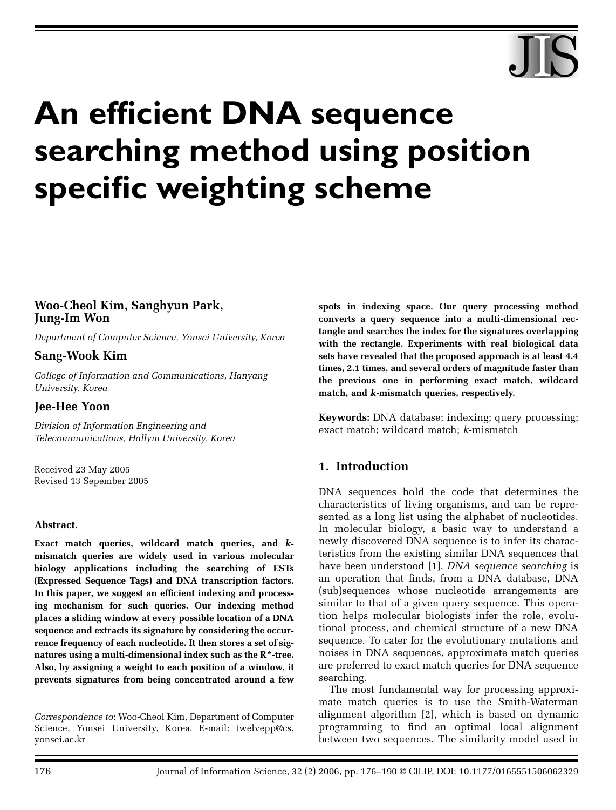# **An efficient DNA sequence searching method using position specific weighting scheme**

# **Woo-Cheol Kim, Sanghyun Park, Jung-Im Won**

*Department of Computer Science, Yonsei University, Korea*

# **Sang-Wook Kim**

*College of Information and Communications, Hanyang University, Korea*

# **Jee-Hee Yoon**

*Division of Information Engineering and Telecommunications, Hallym University, Korea*

Received 23 May 2005 Revised 13 Sepember 2005

#### **Abstract.**

**Exact match queries, wildcard match queries, and** *k***mismatch queries are widely used in various molecular biology applications including the searching of ESTs (Expressed Sequence Tags) and DNA transcription factors. In this paper, we suggest an efficient indexing and processing mechanism for such queries. Our indexing method places a sliding window at every possible location of a DNA sequence and extracts its signature by considering the occurrence frequency of each nucleotide. It then stores a set of signatures using a multi-dimensional index such as the R\*-tree. Also, by assigning a weight to each position of a window, it prevents signatures from being concentrated around a few**

*Correspondence to*: Woo-Cheol Kim, Department of Computer Science, Yonsei University, Korea. E-mail: twelvepp@cs. yonsei.ac.kr

**spots in indexing space. Our query processing method converts a query sequence into a multi-dimensional rectangle and searches the index for the signatures overlapping with the rectangle. Experiments with real biological data sets have revealed that the proposed approach is at least 4.4 times, 2.1 times, and several orders of magnitude faster than the previous one in performing exact match, wildcard match, and** *k***-mismatch queries, respectively.**

**Keywords:** DNA database; indexing; query processing; exact match; wildcard match; *k*-mismatch

# **1. Introduction**

DNA sequences hold the code that determines the characteristics of living organisms, and can be represented as a long list using the alphabet of nucleotides. In molecular biology, a basic way to understand a newly discovered DNA sequence is to infer its characteristics from the existing similar DNA sequences that have been understood [1]. *DNA sequence searching* is an operation that finds, from a DNA database, DNA (sub)sequences whose nucleotide arrangements are similar to that of a given query sequence. This operation helps molecular biologists infer the role, evolutional process, and chemical structure of a new DNA sequence. To cater for the evolutionary mutations and noises in DNA sequences, approximate match queries are preferred to exact match queries for DNA sequence searching.

The most fundamental way for processing approximate match queries is to use the Smith-Waterman alignment algorithm [2], which is based on dynamic programming to find an optimal local alignment between two sequences. The similarity model used in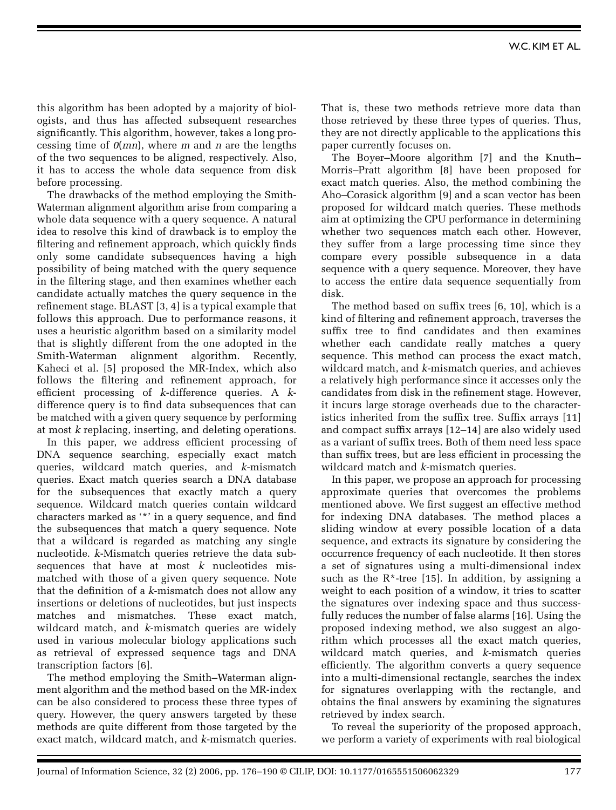this algorithm has been adopted by a majority of biologists, and thus has affected subsequent researches significantly. This algorithm, however, takes a long processing time of *0*(*mn*), where *m* and *n* are the lengths of the two sequences to be aligned, respectively. Also, it has to access the whole data sequence from disk before processing.

The drawbacks of the method employing the Smith-Waterman alignment algorithm arise from comparing a whole data sequence with a query sequence. A natural idea to resolve this kind of drawback is to employ the filtering and refinement approach, which quickly finds only some candidate subsequences having a high possibility of being matched with the query sequence in the filtering stage, and then examines whether each candidate actually matches the query sequence in the refinement stage. BLAST [3, 4] is a typical example that follows this approach. Due to performance reasons, it uses a heuristic algorithm based on a similarity model that is slightly different from the one adopted in the Smith-Waterman alignment algorithm. Recently, Kaheci et al. [5] proposed the MR-Index, which also follows the filtering and refinement approach, for efficient processing of *k*-difference queries. A *k*difference query is to find data subsequences that can be matched with a given query sequence by performing at most *k* replacing, inserting, and deleting operations.

In this paper, we address efficient processing of DNA sequence searching, especially exact match queries, wildcard match queries, and *k*-mismatch queries. Exact match queries search a DNA database for the subsequences that exactly match a query sequence. Wildcard match queries contain wildcard characters marked as '\*' in a query sequence, and find the subsequences that match a query sequence. Note that a wildcard is regarded as matching any single nucleotide. *k*-Mismatch queries retrieve the data subsequences that have at most *k* nucleotides mismatched with those of a given query sequence. Note that the definition of a *k*-mismatch does not allow any insertions or deletions of nucleotides, but just inspects matches and mismatches. These exact match, wildcard match, and *k*-mismatch queries are widely used in various molecular biology applications such as retrieval of expressed sequence tags and DNA transcription factors [6].

The method employing the Smith–Waterman alignment algorithm and the method based on the MR-index can be also considered to process these three types of query. However, the query answers targeted by these methods are quite different from those targeted by the exact match, wildcard match, and *k*-mismatch queries.

That is, these two methods retrieve more data than those retrieved by these three types of queries. Thus, they are not directly applicable to the applications this paper currently focuses on.

The Boyer–Moore algorithm [7] and the Knuth– Morris–Pratt algorithm [8] have been proposed for exact match queries. Also, the method combining the Aho–Corasick algorithm [9] and a scan vector has been proposed for wildcard match queries. These methods aim at optimizing the CPU performance in determining whether two sequences match each other. However, they suffer from a large processing time since they compare every possible subsequence in a data sequence with a query sequence. Moreover, they have to access the entire data sequence sequentially from disk.

The method based on suffix trees [6, 10], which is a kind of filtering and refinement approach, traverses the suffix tree to find candidates and then examines whether each candidate really matches a query sequence. This method can process the exact match, wildcard match, and *k*-mismatch queries, and achieves a relatively high performance since it accesses only the candidates from disk in the refinement stage. However, it incurs large storage overheads due to the characteristics inherited from the suffix tree. Suffix arrays [11] and compact suffix arrays [12–14] are also widely used as a variant of suffix trees. Both of them need less space than suffix trees, but are less efficient in processing the wildcard match and *k*-mismatch queries.

In this paper, we propose an approach for processing approximate queries that overcomes the problems mentioned above. We first suggest an effective method for indexing DNA databases. The method places a sliding window at every possible location of a data sequence, and extracts its signature by considering the occurrence frequency of each nucleotide. It then stores a set of signatures using a multi-dimensional index such as the  $R^*$ -tree [15]. In addition, by assigning a weight to each position of a window, it tries to scatter the signatures over indexing space and thus successfully reduces the number of false alarms [16]. Using the proposed indexing method, we also suggest an algorithm which processes all the exact match queries, wildcard match queries, and *k*-mismatch queries efficiently. The algorithm converts a query sequence into a multi-dimensional rectangle, searches the index for signatures overlapping with the rectangle, and obtains the final answers by examining the signatures retrieved by index search.

To reveal the superiority of the proposed approach, we perform a variety of experiments with real biological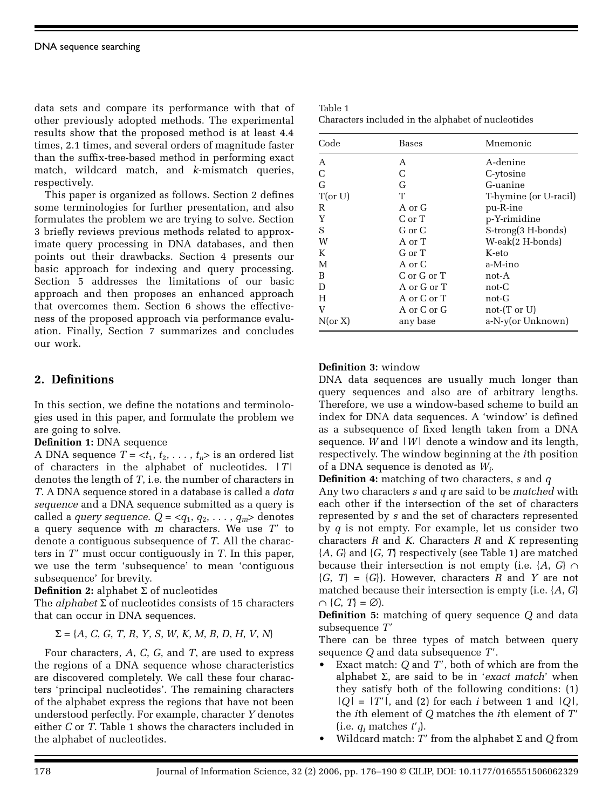data sets and compare its performance with that of other previously adopted methods. The experimental results show that the proposed method is at least 4.4 times, 2.1 times, and several orders of magnitude faster than the suffix-tree-based method in performing exact match, wildcard match, and *k*-mismatch queries, respectively.

This paper is organized as follows. Section 2 defines some terminologies for further presentation, and also formulates the problem we are trying to solve. Section 3 briefly reviews previous methods related to approximate query processing in DNA databases, and then points out their drawbacks. Section 4 presents our basic approach for indexing and query processing. Section 5 addresses the limitations of our basic approach and then proposes an enhanced approach that overcomes them. Section 6 shows the effectiveness of the proposed approach via performance evaluation. Finally, Section 7 summarizes and concludes our work.

# **2. Definitions**

In this section, we define the notations and terminologies used in this paper, and formulate the problem we are going to solve.

### **Definition 1:** DNA sequence

A DNA sequence  $T = \langle t_1, t_2, \ldots, t_n \rangle$  is an ordered list of characters in the alphabet of nucleotides. |*T*| denotes the length of *T*, i.e. the number of characters in *T*. A DNA sequence stored in a database is called a *data sequence* and a DNA sequence submitted as a query is called a *query sequence*.  $Q = \langle q_1, q_2, \ldots, q_m \rangle$  denotes a query sequence with *m* characters. We use *T'* to denote a contiguous subsequence of *T*. All the characters in  $T'$  must occur contiguously in  $T$ . In this paper, we use the term 'subsequence' to mean 'contiguous subsequence' for brevity.

**Definition 2:** alphabet Σ of nucleotides

The *alphabet* Σ of nucleotides consists of 15 characters that can occur in DNA sequences.

Σ = {*A*, *C*, *G*, *T*, *R*, *Y*, *S*, *W*, *K*, *M*, *B*, *D*, *H*, *V*, *N*}

Four characters, *A*, *C*, *G*, and *T*, are used to express the regions of a DNA sequence whose characteristics are discovered completely. We call these four characters 'principal nucleotides'. The remaining characters of the alphabet express the regions that have not been understood perfectly. For example, character *Y* denotes either *C* or *T*. Table 1 shows the characters included in the alphabet of nucleotides.

| Table 1                                            |  |  |  |
|----------------------------------------------------|--|--|--|
| Characters included in the alphabet of nucleotides |  |  |  |

| Code          | Bases       | Mnemonic                 |  |
|---------------|-------------|--------------------------|--|
| A             | A           | A-denine                 |  |
| C             | C           | C-ytosine                |  |
| G             | G           | G-uanine                 |  |
| $T($ or U $)$ | Т           | T-hymine (or U-racil)    |  |
| R             | A or G      | pu-R-ine                 |  |
| Y             | C or T      | p-Y-rimidine             |  |
| S             | G or C      | S-trong(3 H-bonds)       |  |
| W             | A or T      | W-eak(2 H-bonds)         |  |
| K             | G or T      | K-eto                    |  |
| M             | A or C      | a-M-ino                  |  |
| B             | C or G or T | not-A                    |  |
| D             | A or G or T | not-C                    |  |
| H             | A or C or T | not-G                    |  |
| V             | A or C or G | not- $(T \text{ or } U)$ |  |
| $N($ or $X)$  | any base    | a-N-y(or Unknown)        |  |

#### **Definition 3:** window

DNA data sequences are usually much longer than query sequences and also are of arbitrary lengths. Therefore, we use a window-based scheme to build an index for DNA data sequences. A 'window' is defined as a subsequence of fixed length taken from a DNA sequence. *W* and |*W*| denote a window and its length, respectively. The window beginning at the *i*th position of a DNA sequence is denoted as *Wi*.

**Definition 4:** matching of two characters, *s* and *q*

Any two characters *s* and *q* are said to be *matched* with each other if the intersection of the set of characters represented by *s* and the set of characters represented by *q* is not empty. For example, let us consider two characters *R* and *K*. Characters *R* and *K* representing {*A*, *G*} and {*G*, *T*} respectively (see Table 1) are matched because their intersection is not empty (i.e.  $\{A, G\} \cap$  ${G, T} = {G}$ . However, characters *R* and *Y* are not matched because their intersection is empty (i.e. {*A*, *G*}  $\cap$  {*C*, *T*} =  $\emptyset$ }.

**Definition 5:** matching of query sequence *Q* and data subsequence *T*

There can be three types of match between query sequence *Q* and data subsequence *T*.

- Exact match: *Q* and *T*, both of which are from the alphabet Σ, are said to be in '*exact match*' when they satisfy both of the following conditions: (1)  $|Q| = |T'|$ , and (2) for each *i* between 1 and  $|Q|$ , the *i*th element of *Q* matches the *i*th element of *T* (i.e.  $q_i$  matches  $t'_i$ ).
- Wildcard match: *T* from the alphabet Σ and *Q* from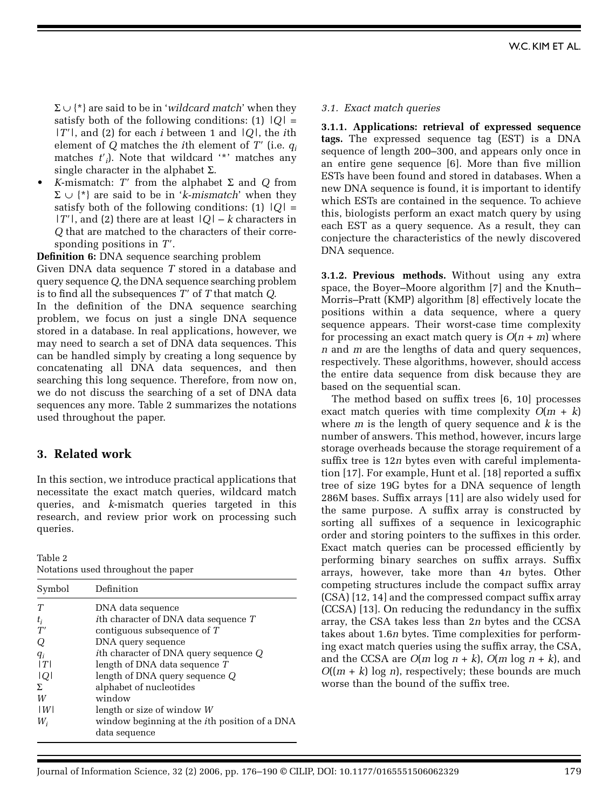Σ ∪ {\*} are said to be in '*wildcard match*' when they satisfy both of the following conditions: (1)  $|Q|$  = |*T*|, and (2) for each *i* between 1 and |*Q*|, the *i*th element of  $Q$  matches the *i*th element of  $T'$  (i.e.  $q_i$ matches *ti*). Note that wildcard '\*' matches any single character in the alphabet  $\Sigma$ .

*K*-mismatch: *T'* from the alphabet Σ and *Q* from Σ ∪ {\*} are said to be in '*k-mismatch*' when they satisfy both of the following conditions: (1)  $|Q|$  =  $|T'|$ , and (2) there are at least  $|Q| - k$  characters in *Q* that are matched to the characters of their corresponding positions in *T*.

**Definition 6:** DNA sequence searching problem

Given DNA data sequence *T* stored in a database and query sequence *Q*, the DNA sequence searching problem is to find all the subsequences *T'* of *T* that match *Q*.

In the definition of the DNA sequence searching problem, we focus on just a single DNA sequence stored in a database. In real applications, however, we may need to search a set of DNA data sequences. This can be handled simply by creating a long sequence by concatenating all DNA data sequences, and then searching this long sequence. Therefore, from now on, we do not discuss the searching of a set of DNA data sequences any more. Table 2 summarizes the notations used throughout the paper.

# **3. Related work**

In this section, we introduce practical applications that necessitate the exact match queries, wildcard match queries, and *k*-mismatch queries targeted in this research, and review prior work on processing such queries.

Table 2 Notations used throughout the paper

| Symbol | Definition                                                             |
|--------|------------------------------------------------------------------------|
| T      | DNA data sequence                                                      |
| $t_i$  | <i>i</i> th character of DNA data sequence T                           |
|        | contiguous subsequence of $T$                                          |
| Q      | DNA query sequence                                                     |
| $q_i$  | <i>i</i> th character of DNA query sequence $Q$                        |
| T      | length of DNA data sequence $T$                                        |
| IQI    | length of DNA query sequence $Q$                                       |
| Σ      | alphabet of nucleotides                                                |
| W      | window                                                                 |
| W      | length or size of window $W$                                           |
| $W_i$  | window beginning at the <i>i</i> th position of a DNA<br>data sequence |

#### *3.1. Exact match queries*

**3.1.1. Applications: retrieval of expressed sequence tags.** The expressed sequence tag (EST) is a DNA sequence of length 200–300, and appears only once in an entire gene sequence [6]. More than five million ESTs have been found and stored in databases. When a new DNA sequence is found, it is important to identify which ESTs are contained in the sequence. To achieve this, biologists perform an exact match query by using each EST as a query sequence. As a result, they can conjecture the characteristics of the newly discovered DNA sequence.

**3.1.2. Previous methods.** Without using any extra space, the Boyer–Moore algorithm [7] and the Knuth– Morris–Pratt (KMP) algorithm [8] effectively locate the positions within a data sequence, where a query sequence appears. Their worst-case time complexity for processing an exact match query is  $O(n + m)$  where *n* and *m* are the lengths of data and query sequences, respectively. These algorithms, however, should access the entire data sequence from disk because they are based on the sequential scan.

The method based on suffix trees [6, 10] processes exact match queries with time complexity  $O(m + k)$ where *m* is the length of query sequence and *k* is the number of answers. This method, however, incurs large storage overheads because the storage requirement of a suffix tree is 12*n* bytes even with careful implementation [17]. For example, Hunt et al. [18] reported a suffix tree of size 19G bytes for a DNA sequence of length 286M bases. Suffix arrays [11] are also widely used for the same purpose. A suffix array is constructed by sorting all suffixes of a sequence in lexicographic order and storing pointers to the suffixes in this order. Exact match queries can be processed efficiently by performing binary searches on suffix arrays. Suffix arrays, however, take more than 4*n* bytes. Other competing structures include the compact suffix array (CSA) [12, 14] and the compressed compact suffix array (CCSA) [13]. On reducing the redundancy in the suffix array, the CSA takes less than 2*n* bytes and the CCSA takes about 1.6*n* bytes. Time complexities for performing exact match queries using the suffix array, the CSA, and the CCSA are  $O(m \log n + k)$ ,  $O(m \log n + k)$ , and  $O((m + k) \log n)$ , respectively; these bounds are much worse than the bound of the suffix tree.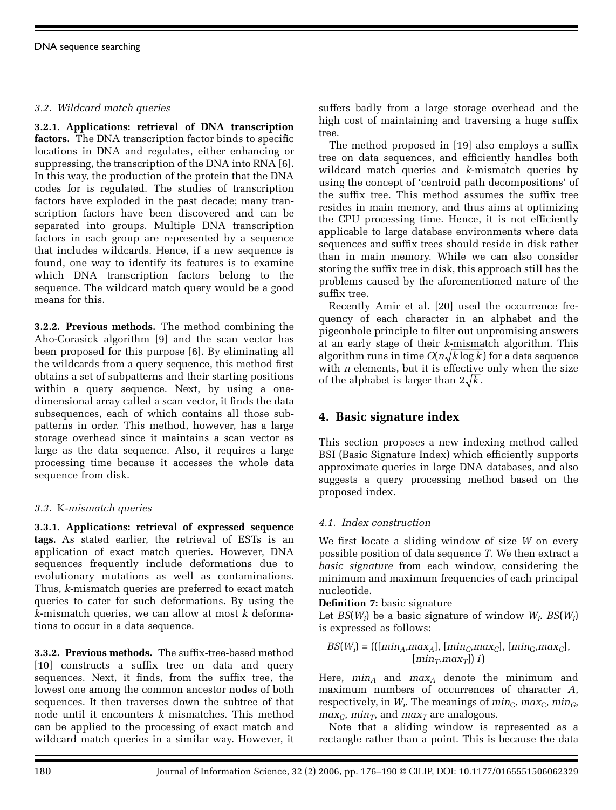### *3.2. Wildcard match queries*

**3.2.1. Applications: retrieval of DNA transcription factors.** The DNA transcription factor binds to specific locations in DNA and regulates, either enhancing or suppressing, the transcription of the DNA into RNA [6]. In this way, the production of the protein that the DNA codes for is regulated. The studies of transcription factors have exploded in the past decade; many transcription factors have been discovered and can be separated into groups. Multiple DNA transcription factors in each group are represented by a sequence that includes wildcards. Hence, if a new sequence is found, one way to identify its features is to examine which DNA transcription factors belong to the sequence. The wildcard match query would be a good means for this.

**3.2.2. Previous methods.** The method combining the Aho-Corasick algorithm [9] and the scan vector has been proposed for this purpose [6]. By eliminating all the wildcards from a query sequence, this method first obtains a set of subpatterns and their starting positions within a query sequence. Next, by using a onedimensional array called a scan vector, it finds the data subsequences, each of which contains all those subpatterns in order. This method, however, has a large storage overhead since it maintains a scan vector as large as the data sequence. Also, it requires a large processing time because it accesses the whole data sequence from disk.

# *3.3.* K*-mismatch queries*

**3.3.1. Applications: retrieval of expressed sequence tags.** As stated earlier, the retrieval of ESTs is an application of exact match queries. However, DNA sequences frequently include deformations due to evolutionary mutations as well as contaminations. Thus, *k*-mismatch queries are preferred to exact match queries to cater for such deformations. By using the *k*-mismatch queries, we can allow at most *k* deformations to occur in a data sequence.

**3.3.2. Previous methods.** The suffix-tree-based method [10] constructs a suffix tree on data and query sequences. Next, it finds, from the suffix tree, the lowest one among the common ancestor nodes of both sequences. It then traverses down the subtree of that node until it encounters *k* mismatches. This method can be applied to the processing of exact match and wildcard match queries in a similar way. However, it

suffers badly from a large storage overhead and the high cost of maintaining and traversing a huge suffix tree.

The method proposed in [19] also employs a suffix tree on data sequences, and efficiently handles both wildcard match queries and *k*-mismatch queries by using the concept of 'centroid path decompositions' of the suffix tree. This method assumes the suffix tree resides in main memory, and thus aims at optimizing the CPU processing time. Hence, it is not efficiently applicable to large database environments where data sequences and suffix trees should reside in disk rather than in main memory. While we can also consider storing the suffix tree in disk, this approach still has the problems caused by the aforementioned nature of the suffix tree.

Recently Amir et al. [20] used the occurrence frequency of each character in an alphabet and the pigeonhole principle to filter out unpromising answers at an early stage of their *k*-mismatch algorithm. This algorithm runs in time  $O(n\sqrt{k\log k})$  for a data sequence with *n* elements, but it is effective only when the size of the alphabet is larger than  $2\sqrt{k}$ .

# **4. Basic signature index**

This section proposes a new indexing method called BSI (Basic Signature Index) which efficiently supports approximate queries in large DNA databases, and also suggests a query processing method based on the proposed index.

# *4.1. Index construction*

We first locate a sliding window of size *W* on every possible position of data sequence *T*. We then extract a *basic signature* from each window, considering the minimum and maximum frequencies of each principal nucleotide.

**Definition 7:** basic signature

Let  $BS(W_i)$  be a basic signature of window  $W_i$ .  $BS(W_i)$ is expressed as follows:

$$
BS(Wi) = \left( \left( [minA, maxA], [minC, maxC], [minG, maxG], [minT, maxT]\right) i \right)
$$

Here,  $min_A$  and  $max_A$  denote the minimum and maximum numbers of occurrences of character *A*, respectively, in  $W_i$ . The meanings of  $min_C$ ,  $max_C$ ,  $min_C$ ,  $max_G$ , *min<sub>T</sub>*, and *max<sub>T</sub>* are analogous.

Note that a sliding window is represented as a rectangle rather than a point. This is because the data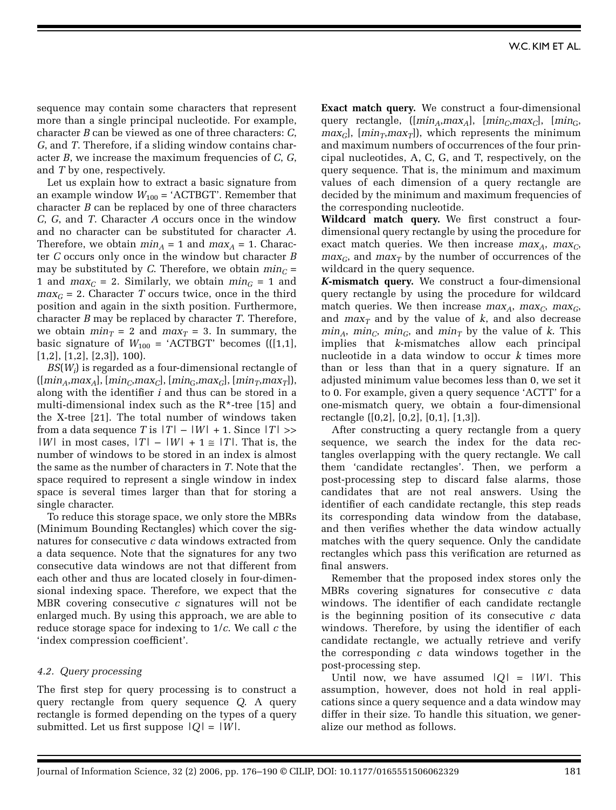sequence may contain some characters that represent more than a single principal nucleotide. For example, character *B* can be viewed as one of three characters: *C*, *G*, and *T*. Therefore, if a sliding window contains character *B*, we increase the maximum frequencies of *C*, *G*, and *T* by one, respectively.

Let us explain how to extract a basic signature from an example window  $W_{100}$  = 'ACTBGT'. Remember that character *B* can be replaced by one of three characters *C*, *G*, and *T*. Character *A* occurs once in the window and no character can be substituted for character *A*. Therefore, we obtain  $min_A = 1$  and  $max_A = 1$ . Character *C* occurs only once in the window but character *B* may be substituted by *C*. Therefore, we obtain  $min_C =$ 1 and  $max_C = 2$ . Similarly, we obtain  $min_G = 1$  and  $max<sub>G</sub> = 2$ . Character *T* occurs twice, once in the third position and again in the sixth position. Furthermore, character *B* may be replaced by character *T*. Therefore, we obtain  $min_T = 2$  and  $max_T = 3$ . In summary, the basic signature of  $W_{100}$  = 'ACTBGT' becomes (([1,1],  $[1,2]$ ,  $[1,2]$ ,  $[2,3]$ ), 100).

*BS*(*Wi*) is regarded as a four-dimensional rectangle of  $([min_A, max_A], [min_C, max_C], [min_G, max_G], [min_T, max_T]),$ along with the identifier *i* and thus can be stored in a multi-dimensional index such as the R\*-tree [15] and the X-tree [21]. The total number of windows taken from a data sequence *T* is  $|T| - |W| + 1$ . Since  $|T|$  >>  $|W|$  in most cases,  $|T| - |W| + 1 \approx |T|$ . That is, the number of windows to be stored in an index is almost the same as the number of characters in *T*. Note that the space required to represent a single window in index space is several times larger than that for storing a single character.

To reduce this storage space, we only store the MBRs (Minimum Bounding Rectangles) which cover the signatures for consecutive *c* data windows extracted from a data sequence. Note that the signatures for any two consecutive data windows are not that different from each other and thus are located closely in four-dimensional indexing space. Therefore, we expect that the MBR covering consecutive *c* signatures will not be enlarged much. By using this approach, we are able to reduce storage space for indexing to 1/*c*. We call *c* the 'index compression coefficient'.

#### *4.2. Query processing*

The first step for query processing is to construct a query rectangle from query sequence *Q*. A query rectangle is formed depending on the types of a query submitted. Let us first suppose |*Q*| = |*W*|.

**Exact match query.** We construct a four-dimensional query rectangle,  $([min_A, max_A], [min_C, max_C], [min_C,$  $max<sub>G</sub>$ , [*min<sub>T</sub>*,*max<sub>T</sub>*]), which represents the minimum and maximum numbers of occurrences of the four principal nucleotides, A, C, G, and T, respectively, on the query sequence. That is, the minimum and maximum values of each dimension of a query rectangle are decided by the minimum and maximum frequencies of the corresponding nucleotide.

**Wildcard match query.** We first construct a fourdimensional query rectangle by using the procedure for exact match queries. We then increase  $max_A$ ,  $max_C$ ,  $max_G$ , and  $max_T$  by the number of occurrences of the wildcard in the query sequence.

*K***-mismatch query.** We construct a four-dimensional query rectangle by using the procedure for wildcard match queries. We then increase  $max_A$ ,  $max_C$ ,  $max_G$ , and  $max<sub>T</sub>$  and by the value of  $k$ , and also decrease  $min_A$ ,  $min_C$ ,  $min_G$ , and  $min_T$  by the value of *k*. This implies that *k*-mismatches allow each principal nucleotide in a data window to occur *k* times more than or less than that in a query signature. If an adjusted minimum value becomes less than 0, we set it to 0. For example, given a query sequence 'ACTT' for a one-mismatch query, we obtain a four-dimensional rectangle ([0,2], [0,2], [0,1], [1,3]).

After constructing a query rectangle from a query sequence, we search the index for the data rectangles overlapping with the query rectangle. We call them 'candidate rectangles'. Then, we perform a post-processing step to discard false alarms, those candidates that are not real answers. Using the identifier of each candidate rectangle, this step reads its corresponding data window from the database, and then verifies whether the data window actually matches with the query sequence. Only the candidate rectangles which pass this verification are returned as final answers.

Remember that the proposed index stores only the MBRs covering signatures for consecutive *c* data windows. The identifier of each candidate rectangle is the beginning position of its consecutive *c* data windows. Therefore, by using the identifier of each candidate rectangle, we actually retrieve and verify the corresponding *c* data windows together in the post-processing step.

Until now, we have assumed  $|Q| = |W|$ . This assumption, however, does not hold in real applications since a query sequence and a data window may differ in their size. To handle this situation, we generalize our method as follows.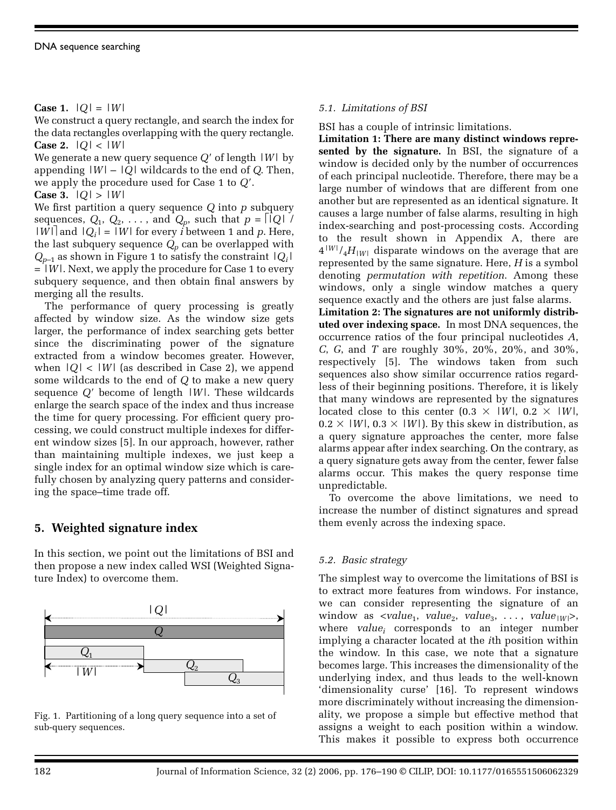#### **Case 1.**  $|Q| = |W|$

We construct a query rectangle, and search the index for the data rectangles overlapping with the query rectangle. **Case 2.**  $|Q| < |W|$ 

We generate a new query sequence  $Q'$  of length  $|W|$  by appending  $|W| - |Q|$  wildcards to the end of *Q*. Then, we apply the procedure used for Case 1 to *Q*.

**Case 3.** |*Q*| > |*W*|

We first partition a query sequence *Q* into *p* subquery sequences,  $Q_1, Q_2, \ldots$ , and  $Q_n$ , such that  $p = \lceil |Q| \rceil$  $|W|$  and  $|Q_i| = |W|$  for every *i* between 1 and *p*. Here, the last subquery sequence  $Q_p$  can be overlapped with  $Q_{p-1}$  as shown in Figure 1 to satisfy the constraint  $|Q_i|$  $=$   $|W|$ . Next, we apply the procedure for Case 1 to every subquery sequence, and then obtain final answers by merging all the results.

The performance of query processing is greatly affected by window size. As the window size gets larger, the performance of index searching gets better since the discriminating power of the signature extracted from a window becomes greater. However, when  $|Q|$  <  $|W|$  (as described in Case 2), we append some wildcards to the end of *Q* to make a new query sequence Q' become of length |W|. These wildcards enlarge the search space of the index and thus increase the time for query processing. For efficient query processing, we could construct multiple indexes for different window sizes [5]. In our approach, however, rather than maintaining multiple indexes, we just keep a single index for an optimal window size which is carefully chosen by analyzing query patterns and considering the space–time trade off.

# **5. Weighted signature index**

In this section, we point out the limitations of BSI and then propose a new index called WSI (Weighted Signature Index) to overcome them.





#### *5.1. Limitations of BSI*

BSI has a couple of intrinsic limitations.

**Limitation 1: There are many distinct windows represented by the signature.** In BSI, the signature of a window is decided only by the number of occurrences of each principal nucleotide. Therefore, there may be a large number of windows that are different from one another but are represented as an identical signature. It causes a large number of false alarms, resulting in high index-searching and post-processing costs. According to the result shown in Appendix A, there are  $4^{|W|}/4H_{|W|}$  disparate windows on the average that are represented by the same signature. Here, *H* is a symbol denoting *permutation with repetition*. Among these windows, only a single window matches a query sequence exactly and the others are just false alarms.

**Limitation 2: The signatures are not uniformly distributed over indexing space.** In most DNA sequences, the occurrence ratios of the four principal nucleotides *A*, *C*, *G*, and *T* are roughly 30%, 20%, 20%, and 30%, respectively [5]. The windows taken from such sequences also show similar occurrence ratios regardless of their beginning positions. Therefore, it is likely that many windows are represented by the signatures  $\text{located close to this center } (0.3 \times |W|, 0.2 \times |W|,$  $0.2 \times |W|$ ,  $0.3 \times |W|$ ). By this skew in distribution, as a query signature approaches the center, more false alarms appear after index searching. On the contrary, as a query signature gets away from the center, fewer false alarms occur. This makes the query response time unpredictable.

To overcome the above limitations, we need to increase the number of distinct signatures and spread them evenly across the indexing space.

#### *5.2. Basic strategy*

The simplest way to overcome the limitations of BSI is to extract more features from windows. For instance, we can consider representing the signature of an window as  $\langle$ *value*<sub>1</sub>, *value*<sub>2</sub>, *value*<sub>3</sub>, ..., *value*<sub>|*W*|</sub> $>$ , where *value<sub>i</sub>* corresponds to an integer number implying a character located at the *i*th position within the window. In this case, we note that a signature becomes large. This increases the dimensionality of the underlying index, and thus leads to the well-known 'dimensionality curse' [16]. To represent windows more discriminately without increasing the dimensionality, we propose a simple but effective method that assigns a weight to each position within a window. This makes it possible to express both occurrence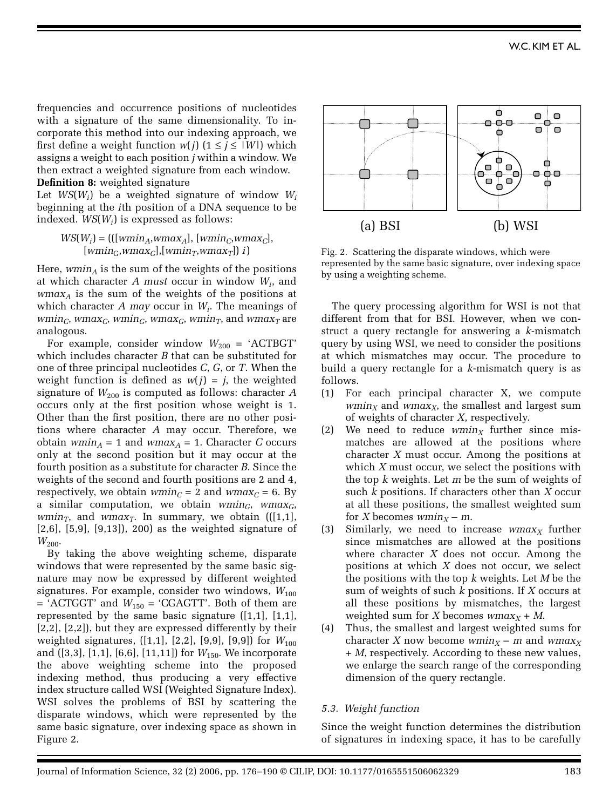frequencies and occurrence positions of nucleotides with a signature of the same dimensionality. To incorporate this method into our indexing approach, we first define a weight function  $w(j)$  ( $1 \le j \le |W|$ ) which assigns a weight to each position *j* within a window. We then extract a weighted signature from each window. **Definition 8:** weighted signature

Let  $WS(W_i)$  be a weighted signature of window  $W_i$ beginning at the *i*th position of a DNA sequence to be indexed. *WS*(*Wi*) is expressed as follows:

#### $WS(W_i) = \left( \left( [wmin_A, wmax_A], [wmin_C, wmax_C], \right. \right)$  $[wmin_{C}$ *, wmax<sub>G</sub>*], $[wmin_{T}$ *, wmax<sub>T</sub>*]) *i*)

Here,  $wmin_A$  is the sum of the weights of the positions at which character *A must* occur in window *Wi*, and  $wmax_A$  is the sum of the weights of the positions at which character *A may* occur in *Wi*. The meanings of *wmin<sub>C</sub>*, *wmax<sub>C</sub>*, *wmin<sub>G</sub>*, *wmax<sub>G</sub>*, *wmin<sub>T</sub>*, and *wmax<sub>T</sub>* are analogous.

For example, consider window  $W_{200}$  = 'ACTBGT' which includes character *B* that can be substituted for one of three principal nucleotides *C*, *G*, or *T*. When the weight function is defined as  $w(j) = j$ , the weighted signature of  $W_{200}$  is computed as follows: character A occurs only at the first position whose weight is 1. Other than the first position, there are no other positions where character *A* may occur. Therefore, we obtain  $wmin_A = 1$  and  $wmax_A = 1$ . Character *C* occurs only at the second position but it may occur at the fourth position as a substitute for character *B*. Since the weights of the second and fourth positions are 2 and 4, respectively, we obtain  $wmin_C = 2$  and  $wmax_C = 6$ . By a similar computation, we obtain  $wmin_G$ ,  $wmax_G$ , *wmin<sub>T</sub>*, and *wmax<sub>T</sub>*. In summary, we obtain (([1,1], [2,6], [5,9], [9,13]), 200) as the weighted signature of  $W_{200}$ 

By taking the above weighting scheme, disparate windows that were represented by the same basic signature may now be expressed by different weighted signatures. For example, consider two windows,  $W_{100}$ = 'ACTGGT' and  $W_{150}$  = 'CGAGTT'. Both of them are represented by the same basic signature ([1,1], [1,1], [2,2], [2,2]), but they are expressed differently by their weighted signatures,  $( [1,1], [2,2], [9,9], [9,9] )$  for  $W_{100}$ and  $([3,3], [1,1], [6,6], [11,11])$  for  $W_{150}$ . We incorporate the above weighting scheme into the proposed indexing method, thus producing a very effective index structure called WSI (Weighted Signature Index). WSI solves the problems of BSI by scattering the disparate windows, which were represented by the same basic signature, over indexing space as shown in Figure 2.



Fig. 2. Scattering the disparate windows, which were represented by the same basic signature, over indexing space by using a weighting scheme.

The query processing algorithm for WSI is not that different from that for BSI. However, when we construct a query rectangle for answering a *k*-mismatch query by using WSI, we need to consider the positions at which mismatches may occur. The procedure to build a query rectangle for a *k*-mismatch query is as follows.

- (1) For each principal character X, we compute  $wmin<sub>X</sub>$  and  $wmax<sub>X</sub>$ , the smallest and largest sum of weights of character *X*, respectively.
- (2) We need to reduce  $wmin_X$  further since mismatches are allowed at the positions where character *X* must occur. Among the positions at which *X* must occur, we select the positions with the top *k* weights. Let *m* be the sum of weights of such *k* positions. If characters other than *X* occur at all these positions, the smallest weighted sum for *X* becomes  $wmin_X - m$ .
- (3) Similarly, we need to increase  $wmax<sub>X</sub>$  further since mismatches are allowed at the positions where character *X* does not occur. Among the positions at which *X* does not occur, we select the positions with the top *k* weights. Let *M* be the sum of weights of such *k* positions. If *X* occurs at all these positions by mismatches, the largest weighted sum for *X* becomes  $wmax_X + M$ .
- (4) Thus, the smallest and largest weighted sums for character *X* now become  $wmin_X - m$  and  $wmax_X$ + *M*, respectively. According to these new values, we enlarge the search range of the corresponding dimension of the query rectangle.

#### *5.3. Weight function*

Since the weight function determines the distribution of signatures in indexing space, it has to be carefully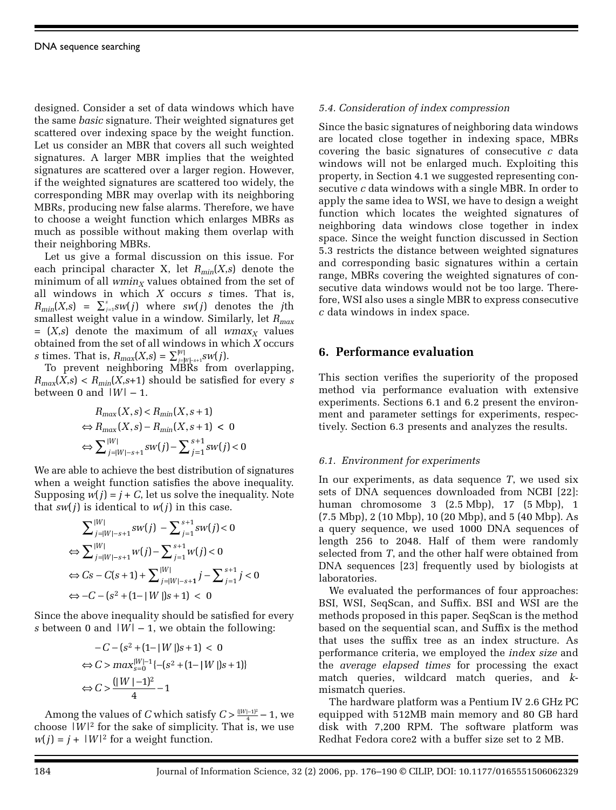designed. Consider a set of data windows which have the same *basic* signature. Their weighted signatures get scattered over indexing space by the weight function. Let us consider an MBR that covers all such weighted signatures. A larger MBR implies that the weighted signatures are scattered over a larger region. However, if the weighted signatures are scattered too widely, the corresponding MBR may overlap with its neighboring MBRs, producing new false alarms. Therefore, we have to choose a weight function which enlarges MBRs as much as possible without making them overlap with their neighboring MBRs.

Let us give a formal discussion on this issue. For each principal character X, let  $R_{min}(X,s)$  denote the minimum of all  $wmin<sub>X</sub>$  values obtained from the set of all windows in which *X* occurs *s* times. That is,  $R_{min}(X,s)$  =  $\sum_{j=1}^{s} sw(j)$  where  $sw(j)$  denotes the *j*th smallest weight value in a window. Similarly, let *Rmax*  $= (X,s)$  denote the maximum of all *wmax<sub>X</sub>* values obtained from the set of all windows in which *X* occurs *s* times. That is,  $R_{max}(X,s) = \sum_{j=|W|-s+1}^{|W|} s w(j)$ .

To prevent neighboring MBRs from overlapping,  $R_{max}(X,s) < R_{min}(X,s+1)$  should be satisfied for every *s* between 0 and  $|W|$  – 1.

$$
R_{max}(X,s) < R_{min}(X,s+1)
$$
\n
$$
\Leftrightarrow R_{max}(X,s) - R_{min}(X,s+1) < 0
$$
\n
$$
\Leftrightarrow \sum_{j=|W|-s+1}^{|W|} sw(j) - \sum_{j=1}^{s+1} sw(j) < 0
$$

We are able to achieve the best distribution of signatures when a weight function satisfies the above inequality. Supposing  $w(j) = j + C$ , let us solve the inequality. Note that  $sw(j)$  is identical to  $w(j)$  in this case.

$$
\sum_{j=|W|-s+1}^{|W|} sw(j) - \sum_{j=1}^{s+1} sw(j) < 0
$$
  
\n
$$
\Leftrightarrow \sum_{j=|W|-s+1}^{|W|} w(j) - \sum_{j=1}^{s+1} w(j) < 0
$$
  
\n
$$
\Leftrightarrow Cs - C(s+1) + \sum_{j=|W|-s+1}^{|W|} j - \sum_{j=1}^{s+1} j < 0
$$
  
\n
$$
\Leftrightarrow -C - (s^2 + (1 - |W|)s + 1) < 0
$$

Since the above inequality should be satisfied for every *s* between 0 and  $|W| - 1$ , we obtain the following:

$$
-C - (s^{2} + (1 - |W|)s + 1) < 0
$$
\n
$$
\Leftrightarrow C > \max_{s=0}^{|W|-1} \{ -(s^{2} + (1 - |W|)s + 1) \}
$$
\n
$$
\Leftrightarrow C > \frac{(|W|-1)^{2}}{4} - 1
$$

Among the values of *C* which satisfy  $C > \frac{(|W| - 1)^2}{4} - 1$ , we choose  $|W|^2$  for the sake of simplicity. That is, we use  $w(j) = j + |W|^2$  for a weight function.

#### *5.4. Consideration of index compression*

Since the basic signatures of neighboring data windows are located close together in indexing space, MBRs covering the basic signatures of consecutive *c* data windows will not be enlarged much. Exploiting this property, in Section 4.1 we suggested representing consecutive *c* data windows with a single MBR. In order to apply the same idea to WSI, we have to design a weight function which locates the weighted signatures of neighboring data windows close together in index space. Since the weight function discussed in Section 5.3 restricts the distance between weighted signatures and corresponding basic signatures within a certain range, MBRs covering the weighted signatures of consecutive data windows would not be too large. Therefore, WSI also uses a single MBR to express consecutive *c* data windows in index space.

#### **6. Performance evaluation**

This section verifies the superiority of the proposed method via performance evaluation with extensive experiments. Sections 6.1 and 6.2 present the environment and parameter settings for experiments, respectively. Section 6.3 presents and analyzes the results.

#### *6.1. Environment for experiments*

In our experiments, as data sequence *T*, we used six sets of DNA sequences downloaded from NCBI [22]: human chromosome 3 (2.5 Mbp), 17 (5 Mbp), 1 (7.5 Mbp), 2 (10 Mbp), 10 (20 Mbp), and 5 (40 Mbp). As a query sequence, we used 1000 DNA sequences of length 256 to 2048. Half of them were randomly selected from *T*, and the other half were obtained from DNA sequences [23] frequently used by biologists at laboratories.

We evaluated the performances of four approaches: BSI, WSI, SeqScan, and Suffix. BSI and WSI are the methods proposed in this paper. SeqScan is the method based on the sequential scan, and Suffix is the method that uses the suffix tree as an index structure. As performance criteria, we employed the *index size* and the *average elapsed times* for processing the exact match queries, wildcard match queries, and *k*mismatch queries.

The hardware platform was a Pentium IV 2.6 GHz PC equipped with 512MB main memory and 80 GB hard disk with 7,200 RPM. The software platform was Redhat Fedora core2 with a buffer size set to 2 MB.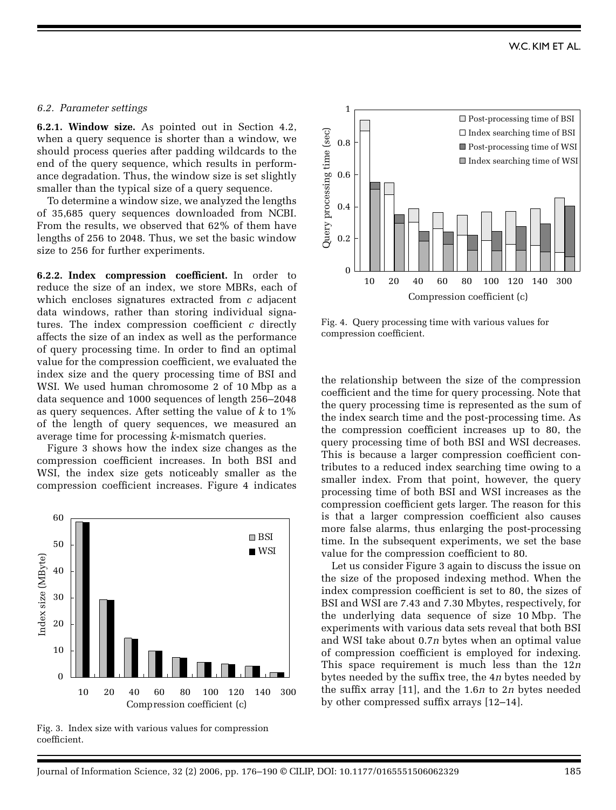#### *6.2. Parameter settings*

**6.2.1. Window size.** As pointed out in Section 4.2, when a query sequence is shorter than a window, we should process queries after padding wildcards to the end of the query sequence, which results in performance degradation. Thus, the window size is set slightly smaller than the typical size of a query sequence.

To determine a window size, we analyzed the lengths of 35,685 query sequences downloaded from NCBI. From the results, we observed that 62% of them have lengths of 256 to 2048. Thus, we set the basic window size to 256 for further experiments.

**6.2.2. Index compression coefficient.** In order to reduce the size of an index, we store MBRs, each of which encloses signatures extracted from *c* adjacent data windows, rather than storing individual signatures. The index compression coefficient *c* directly affects the size of an index as well as the performance of query processing time. In order to find an optimal value for the compression coefficient, we evaluated the index size and the query processing time of BSI and WSI. We used human chromosome 2 of 10 Mbp as a data sequence and 1000 sequences of length 256–2048 as query sequences. After setting the value of *k* to 1% of the length of query sequences, we measured an average time for processing *k*-mismatch queries.

Figure 3 shows how the index size changes as the compression coefficient increases. In both BSI and WSI, the index size gets noticeably smaller as the compression coefficient increases. Figure 4 indicates



Fig. 3. Index size with various values for compression coefficient.



Fig. 4. Query processing time with various values for compression coefficient.

the relationship between the size of the compression coefficient and the time for query processing. Note that the query processing time is represented as the sum of the index search time and the post-processing time. As the compression coefficient increases up to 80, the query processing time of both BSI and WSI decreases. This is because a larger compression coefficient contributes to a reduced index searching time owing to a smaller index. From that point, however, the query processing time of both BSI and WSI increases as the compression coefficient gets larger. The reason for this is that a larger compression coefficient also causes more false alarms, thus enlarging the post-processing time. In the subsequent experiments, we set the base value for the compression coefficient to 80.

Let us consider Figure 3 again to discuss the issue on the size of the proposed indexing method. When the index compression coefficient is set to 80, the sizes of BSI and WSI are 7.43 and 7.30 Mbytes, respectively, for the underlying data sequence of size 10 Mbp. The experiments with various data sets reveal that both BSI and WSI take about 0.7*n* bytes when an optimal value of compression coefficient is employed for indexing. This space requirement is much less than the 12*n* bytes needed by the suffix tree, the 4*n* bytes needed by the suffix array [11], and the 1.6*n* to 2*n* bytes needed by other compressed suffix arrays [12–14].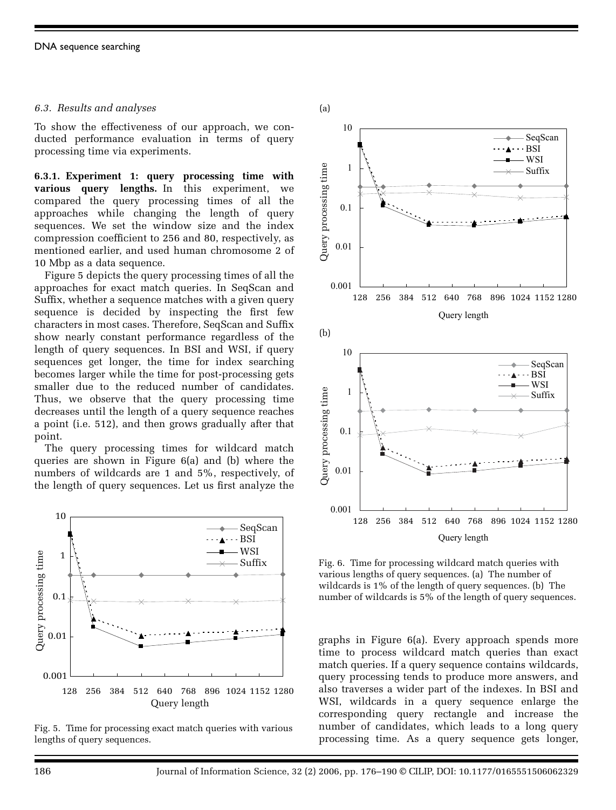#### *6.3. Results and analyses*

To show the effectiveness of our approach, we conducted performance evaluation in terms of query processing time via experiments.

**6.3.1. Experiment 1: query processing time with various query lengths.** In this experiment, we compared the query processing times of all the approaches while changing the length of query sequences. We set the window size and the index compression coefficient to 256 and 80, respectively, as mentioned earlier, and used human chromosome 2 of 10 Mbp as a data sequence.

Figure 5 depicts the query processing times of all the approaches for exact match queries. In SeqScan and Suffix, whether a sequence matches with a given query sequence is decided by inspecting the first few characters in most cases. Therefore, SeqScan and Suffix show nearly constant performance regardless of the length of query sequences. In BSI and WSI, if query sequences get longer, the time for index searching becomes larger while the time for post-processing gets smaller due to the reduced number of candidates. Thus, we observe that the query processing time decreases until the length of a query sequence reaches a point (i.e. 512), and then grows gradually after that point.

The query processing times for wildcard match queries are shown in Figure 6(a) and (b) where the numbers of wildcards are 1 and 5%, respectively, of the length of query sequences. Let us first analyze the



Fig. 5. Time for processing exact match queries with various lengths of query sequences.



Fig. 6. Time for processing wildcard match queries with various lengths of query sequences. (a) The number of wildcards is 1% of the length of query sequences. (b) The number of wildcards is 5% of the length of query sequences.

graphs in Figure 6(a). Every approach spends more time to process wildcard match queries than exact match queries. If a query sequence contains wildcards, query processing tends to produce more answers, and also traverses a wider part of the indexes. In BSI and WSI, wildcards in a query sequence enlarge the corresponding query rectangle and increase the number of candidates, which leads to a long query processing time. As a query sequence gets longer,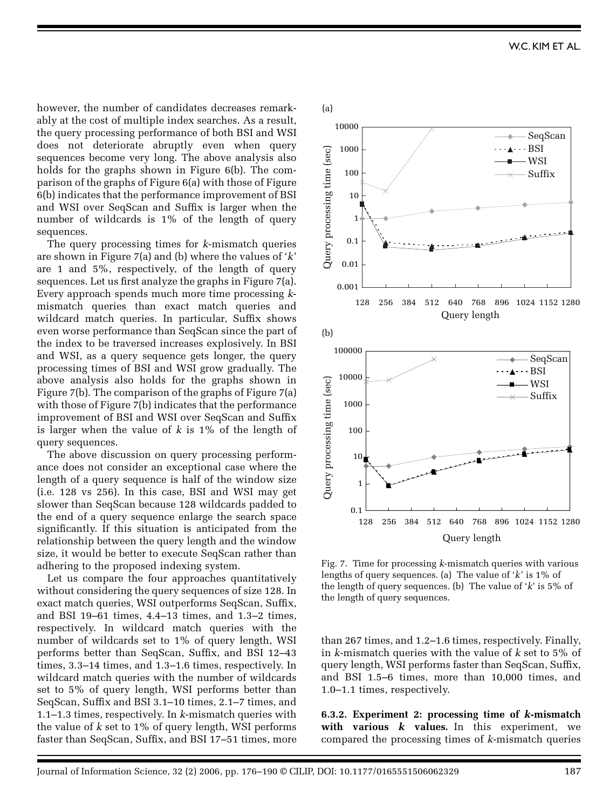however, the number of candidates decreases remarkably at the cost of multiple index searches. As a result, the query processing performance of both BSI and WSI does not deteriorate abruptly even when query sequences become very long. The above analysis also holds for the graphs shown in Figure 6(b). The comparison of the graphs of Figure 6(a) with those of Figure 6(b) indicates that the performance improvement of BSI and WSI over SeqScan and Suffix is larger when the number of wildcards is 1% of the length of query sequences.

The query processing times for *k*-mismatch queries are shown in Figure 7(a) and (b) where the values of '*k*' are 1 and 5%, respectively, of the length of query sequences. Let us first analyze the graphs in Figure 7(a). Every approach spends much more time processing *k*mismatch queries than exact match queries and wildcard match queries. In particular, Suffix shows even worse performance than SeqScan since the part of the index to be traversed increases explosively. In BSI and WSI, as a query sequence gets longer, the query processing times of BSI and WSI grow gradually. The above analysis also holds for the graphs shown in Figure 7(b). The comparison of the graphs of Figure 7(a) with those of Figure 7(b) indicates that the performance improvement of BSI and WSI over SeqScan and Suffix is larger when the value of *k* is 1% of the length of query sequences.

The above discussion on query processing performance does not consider an exceptional case where the length of a query sequence is half of the window size (i.e. 128 vs 256). In this case, BSI and WSI may get slower than SeqScan because 128 wildcards padded to the end of a query sequence enlarge the search space significantly. If this situation is anticipated from the relationship between the query length and the window size, it would be better to execute SeqScan rather than adhering to the proposed indexing system.

Let us compare the four approaches quantitatively without considering the query sequences of size 128. In exact match queries, WSI outperforms SeqScan, Suffix, and BSI 19–61 times, 4.4–13 times, and 1.3–2 times, respectively. In wildcard match queries with the number of wildcards set to 1% of query length, WSI performs better than SeqScan, Suffix, and BSI 12–43 times, 3.3–14 times, and 1.3–1.6 times, respectively. In wildcard match queries with the number of wildcards set to 5% of query length, WSI performs better than SeqScan, Suffix and BSI 3.1–10 times, 2.1–7 times, and 1.1–1.3 times, respectively. In *k*-mismatch queries with the value of *k* set to 1% of query length, WSI performs faster than SeqScan, Suffix, and BSI 17–51 times, more



Fig. 7. Time for processing *k*-mismatch queries with various lengths of query sequences. (a) The value of '*k*' is 1% of the length of query sequences. (b) The value of '*k*' is 5% of the length of query sequences.

than 267 times, and 1.2–1.6 times, respectively. Finally, in *k*-mismatch queries with the value of *k* set to 5% of query length, WSI performs faster than SeqScan, Suffix, and BSI 1.5–6 times, more than 10,000 times, and 1.0–1.1 times, respectively.

**6.3.2. Experiment 2: processing time of** *k***-mismatch with various** *k* **values.** In this experiment, we compared the processing times of *k*-mismatch queries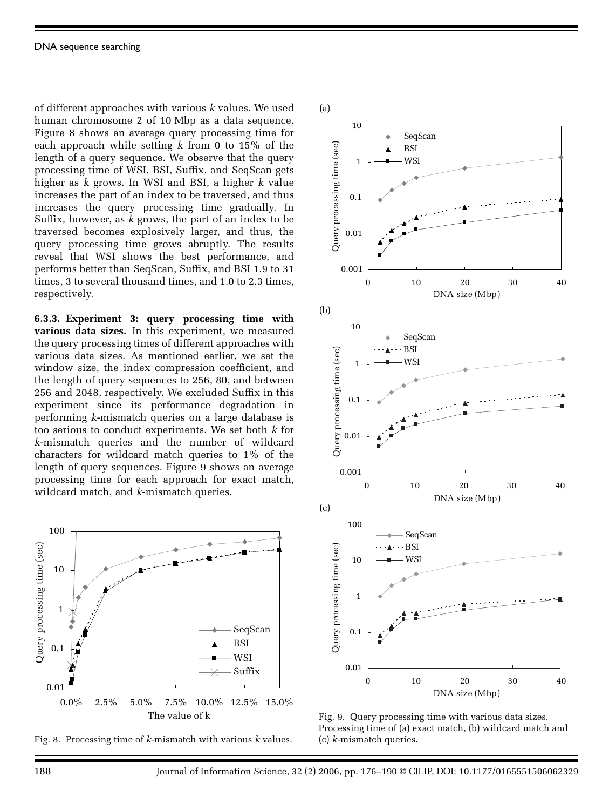of different approaches with various *k* values. We used human chromosome 2 of 10 Mbp as a data sequence. Figure 8 shows an average query processing time for each approach while setting *k* from 0 to 15% of the length of a query sequence. We observe that the query processing time of WSI, BSI, Suffix, and SeqScan gets higher as *k* grows. In WSI and BSI, a higher *k* value increases the part of an index to be traversed, and thus increases the query processing time gradually. In Suffix, however, as *k* grows, the part of an index to be traversed becomes explosively larger, and thus, the query processing time grows abruptly. The results reveal that WSI shows the best performance, and performs better than SeqScan, Suffix, and BSI 1.9 to 31 times, 3 to several thousand times, and 1.0 to 2.3 times, respectively.

**6.3.3. Experiment 3: query processing time with various data sizes.** In this experiment, we measured the query processing times of different approaches with various data sizes. As mentioned earlier, we set the window size, the index compression coefficient, and the length of query sequences to 256, 80, and between 256 and 2048, respectively. We excluded Suffix in this experiment since its performance degradation in performing *k*-mismatch queries on a large database is too serious to conduct experiments. We set both *k* for *k*-mismatch queries and the number of wildcard characters for wildcard match queries to 1% of the length of query sequences. Figure 9 shows an average processing time for each approach for exact match, wildcard match, and *k*-mismatch queries.



Fig. 8. Processing time of *k*-mismatch with various *k* values.





Fig. 9. Query processing time with various data sizes. Processing time of (a) exact match, (b) wildcard match and (c) *k*-mismatch queries.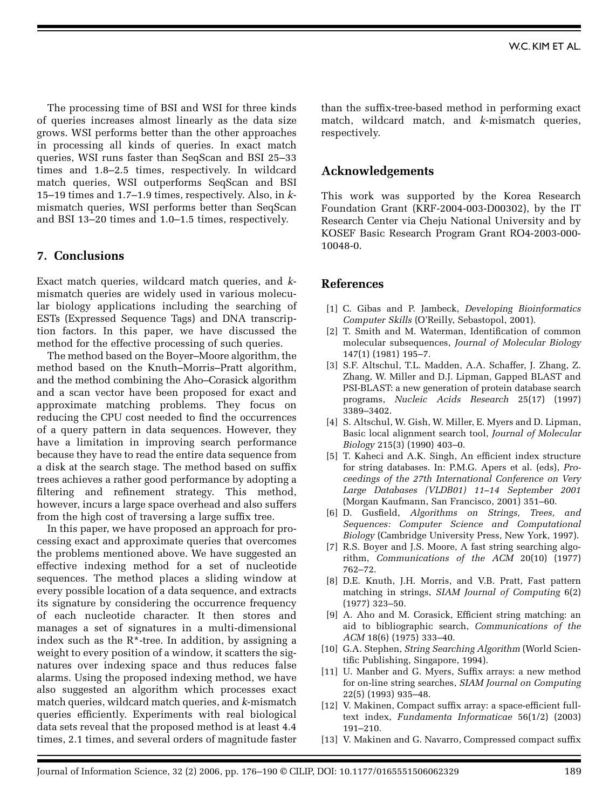The processing time of BSI and WSI for three kinds of queries increases almost linearly as the data size grows. WSI performs better than the other approaches in processing all kinds of queries. In exact match queries, WSI runs faster than SeqScan and BSI 25–33 times and 1.8–2.5 times, respectively. In wildcard match queries, WSI outperforms SeqScan and BSI 15–19 times and 1.7–1.9 times, respectively. Also, in *k*mismatch queries, WSI performs better than SeqScan and BSI 13–20 times and 1.0–1.5 times, respectively.

#### **7. Conclusions**

Exact match queries, wildcard match queries, and *k*mismatch queries are widely used in various molecular biology applications including the searching of ESTs (Expressed Sequence Tags) and DNA transcription factors. In this paper, we have discussed the method for the effective processing of such queries.

The method based on the Boyer–Moore algorithm, the method based on the Knuth–Morris–Pratt algorithm, and the method combining the Aho–Corasick algorithm and a scan vector have been proposed for exact and approximate matching problems. They focus on reducing the CPU cost needed to find the occurrences of a query pattern in data sequences. However, they have a limitation in improving search performance because they have to read the entire data sequence from a disk at the search stage. The method based on suffix trees achieves a rather good performance by adopting a filtering and refinement strategy. This method, however, incurs a large space overhead and also suffers from the high cost of traversing a large suffix tree.

In this paper, we have proposed an approach for processing exact and approximate queries that overcomes the problems mentioned above. We have suggested an effective indexing method for a set of nucleotide sequences. The method places a sliding window at every possible location of a data sequence, and extracts its signature by considering the occurrence frequency of each nucleotide character. It then stores and manages a set of signatures in a multi-dimensional index such as the  $R^*$ -tree. In addition, by assigning a weight to every position of a window, it scatters the signatures over indexing space and thus reduces false alarms. Using the proposed indexing method, we have also suggested an algorithm which processes exact match queries, wildcard match queries, and *k*-mismatch queries efficiently. Experiments with real biological data sets reveal that the proposed method is at least 4.4 times, 2.1 times, and several orders of magnitude faster than the suffix-tree-based method in performing exact match, wildcard match, and *k*-mismatch queries, respectively.

#### **Acknowledgements**

This work was supported by the Korea Research Foundation Grant (KRF-2004-003-D00302), by the IT Research Center via Cheju National University and by KOSEF Basic Research Program Grant RO4-2003-000- 10048-0.

#### **References**

- [1] C. Gibas and P. Jambeck, *Developing Bioinformatics Computer Skills* (O'Reilly, Sebastopol, 2001).
- [2] T. Smith and M. Waterman, Identification of common molecular subsequences, *Journal of Molecular Biology* 147(1) (1981) 195–7.
- [3] S.F. Altschul, T.L. Madden, A.A. Schaffer, J. Zhang, Z. Zhang, W. Miller and D.J. Lipman, Gapped BLAST and PSI-BLAST: a new generation of protein database search programs, *Nucleic Acids Research* 25(17) (1997) 3389–3402.
- [4] S. Altschul, W. Gish, W. Miller, E. Myers and D. Lipman, Basic local alignment search tool, *Journal of Molecular Biology* 215(3) (1990) 403–0.
- [5] T. Kaheci and A.K. Singh, An efficient index structure for string databases. In: P.M.G. Apers et al. (eds), *Proceedings of the 27th International Conference on Very Large Databases (VLDB01) 11–14 September 2001* (Morgan Kaufmann, San Francisco, 2001) 351–60.
- [6] D. Gusfield, *Algorithms on Strings, Trees, and Sequences: Computer Science and Computational Biology* (Cambridge University Press, New York, 1997).
- [7] R.S. Boyer and J.S. Moore, A fast string searching algorithm, *Communications of the ACM* 20(10) (1977) 762–72.
- [8] D.E. Knuth, J.H. Morris, and V.B. Pratt, Fast pattern matching in strings, *SIAM Journal of Computing* 6(2) (1977) 323–50.
- [9] A. Aho and M. Corasick, Efficient string matching: an aid to bibliographic search, *Communications of the ACM* 18(6) (1975) 333–40.
- [10] G.A. Stephen, *String Searching Algorithm* (World Scientific Publishing, Singapore, 1994).
- [11] U. Manber and G. Myers, Suffix arrays: a new method for on-line string searches, *SIAM Journal on Computing* 22(5) (1993) 935–48.
- [12] V. Makinen, Compact suffix array: a space-efficient fulltext index, *Fundamenta Informaticae* 56(1/2) (2003) 191–210.
- [13] V. Makinen and G. Navarro, Compressed compact suffix